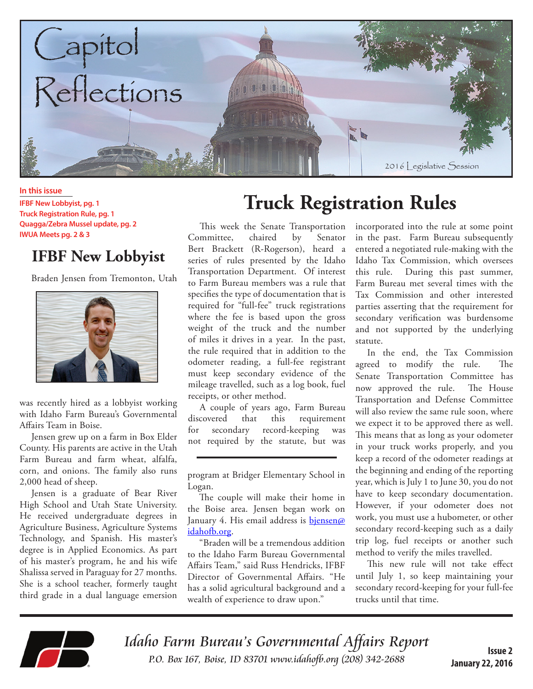

#### **In this issue**

**IFBF New Lobbyist, pg. 1 Truck Registration Rule, pg. 1 Quagga/Zebra Mussel update, pg. 2 IWUA Meets pg. 2 & 3**

### **IFBF New Lobbyist**

Braden Jensen from Tremonton, Utah



was recently hired as a lobbyist working with Idaho Farm Bureau's Governmental Affairs Team in Boise.

Jensen grew up on a farm in Box Elder County. His parents are active in the Utah Farm Bureau and farm wheat, alfalfa, corn, and onions. The family also runs 2,000 head of sheep.

Jensen is a graduate of Bear River High School and Utah State University. He received undergraduate degrees in Agriculture Business, Agriculture Systems Technology, and Spanish. His master's degree is in Applied Economics. As part of his master's program, he and his wife Shalissa served in Paraguay for 27 months. She is a school teacher, formerly taught third grade in a dual language emersion

# **Truck Registration Rules**

This week the Senate Transportation Committee, chaired by Senator Bert Brackett (R-Rogerson), heard a series of rules presented by the Idaho Transportation Department. Of interest to Farm Bureau members was a rule that specifies the type of documentation that is required for "full-fee" truck registrations where the fee is based upon the gross weight of the truck and the number of miles it drives in a year. In the past, the rule required that in addition to the odometer reading, a full-fee registrant must keep secondary evidence of the mileage travelled, such as a log book, fuel receipts, or other method.

A couple of years ago, Farm Bureau discovered that this requirement for secondary record-keeping was not required by the statute, but was

"Braden will be a tremendous addition to the Idaho Farm Bureau Governmental Affairs Team," said Russ Hendricks, IFBF Director of Governmental Affairs. "He has a solid agricultural background and a wealth of experience to draw upon."

incorporated into the rule at some point in the past. Farm Bureau subsequently entered a negotiated rule-making with the Idaho Tax Commission, which oversees this rule. During this past summer, Farm Bureau met several times with the Tax Commission and other interested parties asserting that the requirement for secondary verification was burdensome and not supported by the underlying statute.

In the end, the Tax Commission agreed to modify the rule. The Senate Transportation Committee has now approved the rule. The House Transportation and Defense Committee will also review the same rule soon, where we expect it to be approved there as well. This means that as long as your odometer in your truck works properly, and you keep a record of the odometer readings at the beginning and ending of the reporting year, which is July 1 to June 30, you do not have to keep secondary documentation. However, if your odometer does not work, you must use a hubometer, or other secondary record-keeping such as a daily trip log, fuel receipts or another such method to verify the miles travelled.

This new rule will not take effect until July 1, so keep maintaining your secondary record-keeping for your full-fee trucks until that time.



Idaho Farm Bureau's Governmental Affairs Report P.O. Box 167, Boise, ID 83701 www.idahofb.org (208) 342-2688 **Issue 2**

program at Bridger Elementary School in Logan.

The couple will make their home in the Boise area. Jensen began work on January 4. His email address is bjensen@ idahofb.org.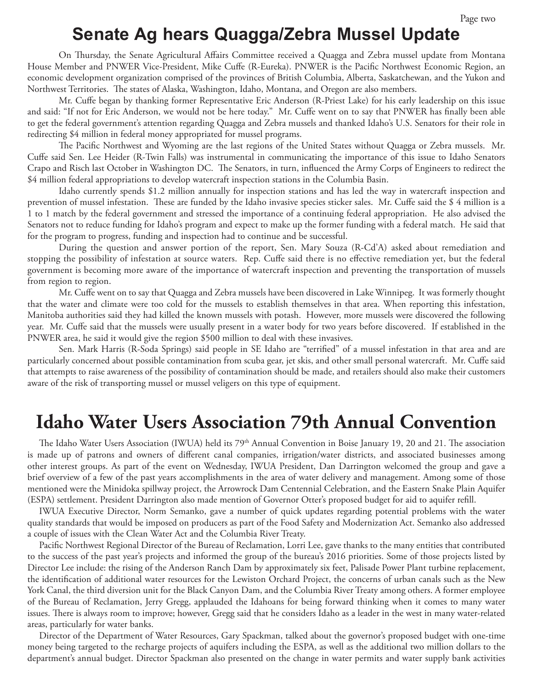## **Senate Ag hears Quagga/Zebra Mussel Update**

On Thursday, the Senate Agricultural Affairs Committee received a Quagga and Zebra mussel update from Montana House Member and PNWER Vice-President, Mike Cuffe (R-Eureka). PNWER is the Pacific Northwest Economic Region, an economic development organization comprised of the provinces of British Columbia, Alberta, Saskatchewan, and the Yukon and Northwest Territories. The states of Alaska, Washington, Idaho, Montana, and Oregon are also members.

Mr. Cuffe began by thanking former Representative Eric Anderson (R-Priest Lake) for his early leadership on this issue and said: "If not for Eric Anderson, we would not be here today." Mr. Cuffe went on to say that PNWER has finally been able to get the federal government's attention regarding Quagga and Zebra mussels and thanked Idaho's U.S. Senators for their role in redirecting \$4 million in federal money appropriated for mussel programs.

The Pacific Northwest and Wyoming are the last regions of the United States without Quagga or Zebra mussels. Mr. Cuffe said Sen. Lee Heider (R-Twin Falls) was instrumental in communicating the importance of this issue to Idaho Senators Crapo and Risch last October in Washington DC. The Senators, in turn, influenced the Army Corps of Engineers to redirect the \$4 million federal appropriations to develop watercraft inspection stations in the Columbia Basin.

Idaho currently spends \$1.2 million annually for inspection stations and has led the way in watercraft inspection and prevention of mussel infestation. These are funded by the Idaho invasive species sticker sales. Mr. Cuffe said the \$ 4 million is a 1 to 1 match by the federal government and stressed the importance of a continuing federal appropriation. He also advised the Senators not to reduce funding for Idaho's program and expect to make up the former funding with a federal match. He said that for the program to progress, funding and inspection had to continue and be successful.

During the question and answer portion of the report, Sen. Mary Souza (R-Cd'A) asked about remediation and stopping the possibility of infestation at source waters. Rep. Cuffe said there is no effective remediation yet, but the federal government is becoming more aware of the importance of watercraft inspection and preventing the transportation of mussels from region to region.

Mr. Cuffe went on to say that Quagga and Zebra mussels have been discovered in Lake Winnipeg. It was formerly thought that the water and climate were too cold for the mussels to establish themselves in that area. When reporting this infestation, Manitoba authorities said they had killed the known mussels with potash. However, more mussels were discovered the following year. Mr. Cuffe said that the mussels were usually present in a water body for two years before discovered. If established in the PNWER area, he said it would give the region \$500 million to deal with these invasives.

Sen. Mark Harris (R-Soda Springs) said people in SE Idaho are "terrified" of a mussel infestation in that area and are particularly concerned about possible contamination from scuba gear, jet skis, and other small personal watercraft. Mr. Cuffe said that attempts to raise awareness of the possibility of contamination should be made, and retailers should also make their customers aware of the risk of transporting mussel or mussel veligers on this type of equipment.

## **Idaho Water Users Association 79th Annual Convention**

The Idaho Water Users Association (IWUA) held its 79<sup>th</sup> Annual Convention in Boise January 19, 20 and 21. The association is made up of patrons and owners of different canal companies, irrigation/water districts, and associated businesses among other interest groups. As part of the event on Wednesday, IWUA President, Dan Darrington welcomed the group and gave a brief overview of a few of the past years accomplishments in the area of water delivery and management. Among some of those mentioned were the Minidoka spillway project, the Arrowrock Dam Centennial Celebration, and the Eastern Snake Plain Aquifer (ESPA) settlement. President Darrington also made mention of Governor Otter's proposed budget for aid to aquifer refill.

IWUA Executive Director, Norm Semanko, gave a number of quick updates regarding potential problems with the water quality standards that would be imposed on producers as part of the Food Safety and Modernization Act. Semanko also addressed a couple of issues with the Clean Water Act and the Columbia River Treaty.

Pacific Northwest Regional Director of the Bureau of Reclamation, Lorri Lee, gave thanks to the many entities that contributed to the success of the past year's projects and informed the group of the bureau's 2016 priorities. Some of those projects listed by Director Lee include: the rising of the Anderson Ranch Dam by approximately six feet, Palisade Power Plant turbine replacement, the identification of additional water resources for the Lewiston Orchard Project, the concerns of urban canals such as the New York Canal, the third diversion unit for the Black Canyon Dam, and the Columbia River Treaty among others. A former employee of the Bureau of Reclamation, Jerry Gregg, applauded the Idahoans for being forward thinking when it comes to many water issues. There is always room to improve; however, Gregg said that he considers Idaho as a leader in the west in many water-related areas, particularly for water banks.

Director of the Department of Water Resources, Gary Spackman, talked about the governor's proposed budget with one-time money being targeted to the recharge projects of aquifers including the ESPA, as well as the additional two million dollars to the department's annual budget. Director Spackman also presented on the change in water permits and water supply bank activities